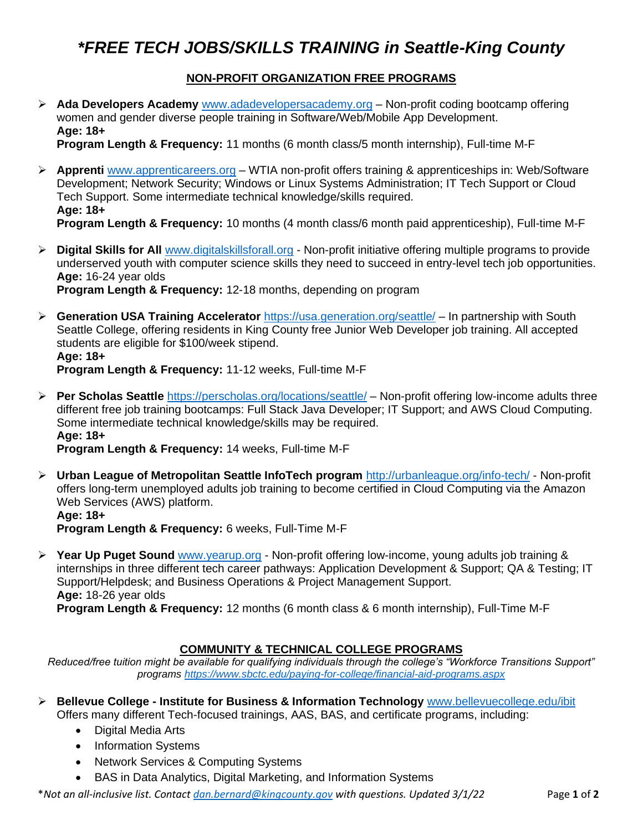## *\*FREE TECH JOBS/SKILLS TRAINING in Seattle-King County*

### **NON-PROFIT ORGANIZATION FREE PROGRAMS**

➢ **Ada Developers Academy** [www.adadevelopersacademy.org](http://www.adadevelopersacademy.org/) – Non-profit coding bootcamp offering women and gender diverse people training in Software/Web/Mobile App Development. **Age: 18+** 

**Program Length & Frequency:** 11 months (6 month class/5 month internship), Full-time M-F

- ➢ **Apprenti** [www.apprenticareers.org](http://www.apprenticareers.org/) WTIA non-profit offers training & apprenticeships in: Web/Software Development; Network Security; Windows or Linux Systems Administration; IT Tech Support or Cloud Tech Support. Some intermediate technical knowledge/skills required. **Age: 18+ Program Length & Frequency:** 10 months (4 month class/6 month paid apprenticeship), Full-time M-F
- ➢ **Digital Skills for All** [www.digitalskillsforall.org](http://www.digitalskillsforall.org/) Non-profit initiative offering multiple programs to provide underserved youth with computer science skills they need to succeed in entry-level tech job opportunities.

**Age:** 16-24 year olds

**Program Length & Frequency:** 12-18 months, depending on program

➢ **Generation USA Training Accelerator** <https://usa.generation.org/seattle/> – In partnership with South Seattle College, offering residents in King County free Junior Web Developer job training. All accepted students are eligible for \$100/week stipend. **Age: 18+** 

**Program Length & Frequency:** 11-12 weeks, Full-time M-F

➢ **Per Scholas Seattle** <https://perscholas.org/locations/seattle/> – Non-profit offering low-income adults three different free job training bootcamps: Full Stack Java Developer; IT Support; and AWS Cloud Computing. Some intermediate technical knowledge/skills may be required. **Age: 18+** 

**Program Length & Frequency:** 14 weeks, Full-time M-F

➢ **Urban League of Metropolitan Seattle InfoTech program** <http://urbanleague.org/info-tech/> - Non-profit offers long-term unemployed adults job training to become certified in Cloud Computing via the Amazon Web Services (AWS) platform.

**Age: 18+ Program Length & Frequency:** 6 weeks, Full-Time M-F

➢ **Year Up Puget Sound** [www.yearup.org](http://www.yearup.org/) - Non-profit offering low-income, young adults job training & internships in three different tech career pathways: Application Development & Support; QA & Testing; IT Support/Helpdesk; and Business Operations & Project Management Support. **Age:** 18-26 year olds

**Program Length & Frequency:** 12 months (6 month class & 6 month internship), Full-Time M-F

#### **COMMUNITY & TECHNICAL COLLEGE PROGRAMS**

*Reduced/free tuition might be available for qualifying individuals through the college's "Workforce Transitions Support" programs<https://www.sbctc.edu/paying-for-college/financial-aid-programs.aspx>*

- ➢ **Bellevue College - Institute for Business & Information Technology** [www.bellevuecollege.edu/ibit](http://www.bellevuecollege.edu/ibit) Offers many different Tech-focused trainings, AAS, BAS, and certificate programs, including:
	- Digital Media Arts
	- Information Systems
	- Network Services & Computing Systems
	- BAS in Data Analytics, Digital Marketing, and Information Systems

\**Not an all-inclusive list. Contact [dan.bernard@kingcounty.gov](mailto:dan.bernard@kingcounty.gov) with questions. Updated 3/1/22* Page **1** of **2**